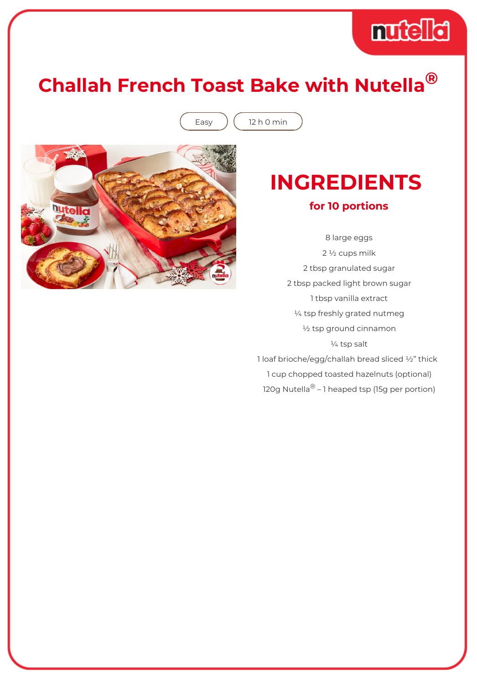

## **Challah French Toast Bake with Nutella®**

Easy  $\int (12 h 0 min)$ 



## **INGREDIENTS**

#### **for 10 portions**

8 large eggs 2 ½ cups milk 2 tbsp granulated sugar 2 tbsp packed light brown sugar 1 tbsp vanilla extract ¼ tsp freshly grated nutmeg ½ tsp ground cinnamon ¼ tsp salt 1 loaf brioche/egg/challah bread sliced ½" thick 1 cup chopped toasted hazelnuts (optional)

120g Nutella<sup>®</sup> – 1 heaped tsp (15g per portion)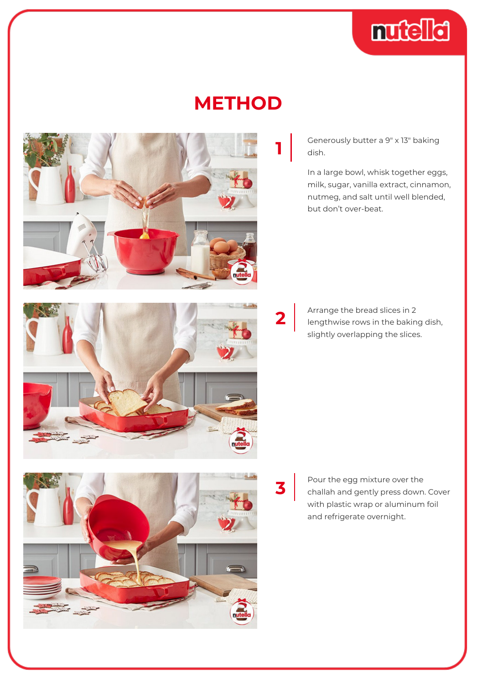

### **METHOD**



Generously butter a 9″ x 13″ baking dish.

In a large bowl, whisk together eggs, milk, sugar, vanilla extract, cinnamon, nutmeg, and salt until well blended, but don't over-beat.

**2**

Arrange the bread slices in 2 lengthwise rows in the baking dish, slightly overlapping the slices.

**3**

Pour the egg mixture over the challah and gently press down. Cover with plastic wrap or aluminum foil and refrigerate overnight.